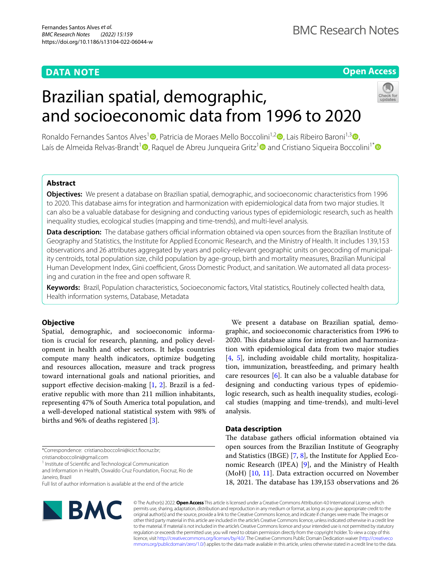# **DATA NOTE**

# **Open Access**

# Brazilian spatial, demographic, and socioeconomic data from 1996 to 2020



Ronaldo Fernandes Santos Alves<sup>1</sup> D. Patricia de Moraes Mello Boccolini<sup>1[,](http://orcid.org/0000-0002-8358-0519)[2](http://orcid.org/0000-0002-9190-9142)</sup> D. Lais Ribeiro Baroni<sup>1,[3](http://orcid.org/0000-0002-8099-2593)</sup> D. Laís de Almeida Relvas-Brandt<sup>1</sup> [,](http://orcid.org/0000-0003-1273-5445) Raquel de Abreu Junqueira Gritz<sup>1</sup> and Cristiano Siqueira Boccolini<sup>1\*</sup> a

# **Abstract**

**Objectives:** We present a database on Brazilian spatial, demographic, and socioeconomic characteristics from 1996 to 2020. This database aims for integration and harmonization with epidemiological data from two major studies. It can also be a valuable database for designing and conducting various types of epidemiologic research, such as health inequality studies, ecological studies (mapping and time-trends), and multi-level analysis.

**Data description:** The database gathers official information obtained via open sources from the Brazilian Institute of Geography and Statistics, the Institute for Applied Economic Research, and the Ministry of Health. It includes 139,153 observations and 26 attributes aggregated by years and policy-relevant geographic units on geocoding of municipal‑ ity centroids, total population size, child population by age-group, birth and mortality measures, Brazilian Municipal Human Development Index, Gini coefficient, Gross Domestic Product, and sanitation. We automated all data processing and curation in the free and open software R.

**Keywords:** Brazil, Population characteristics, Socioeconomic factors, Vital statistics, Routinely collected health data, Health information systems, Database, Metadata

# **Objective**

Spatial, demographic, and socioeconomic information is crucial for research, planning, and policy development in health and other sectors. It helps countries compute many health indicators, optimize budgeting and resources allocation, measure and track progress toward international goals and national priorities, and support effective decision-making  $[1, 2]$  $[1, 2]$  $[1, 2]$  $[1, 2]$ . Brazil is a federative republic with more than 211 million inhabitants, representing 47% of South America total population, and a well-developed national statistical system with 98% of births and 96% of deaths registered [[3\]](#page-3-0).

cristianoboccolini@gmail.com

<sup>1</sup> Institute of Scientific and Technological Communication

and Information in Health, Oswaldo Cruz Foundation, Fiocruz, Rio de Janeiro, Brazil

Full list of author information is available at the end of the article



We present a database on Brazilian spatial, demographic, and socioeconomic characteristics from 1996 to 2020. This database aims for integration and harmonization with epidemiological data from two major studies [[4,](#page-3-1) [5\]](#page-3-2), including avoidable child mortality, hospitalization, immunization, breastfeeding, and primary health care resources [\[6](#page-3-3)]. It can also be a valuable database for designing and conducting various types of epidemiologic research, such as health inequality studies, ecological studies (mapping and time-trends), and multi-level analysis.

# **Data description**

The database gathers official information obtained via open sources from the Brazilian Institute of Geography and Statistics (IBGE) [[7,](#page-3-4) [8](#page-3-5)], the Institute for Applied Economic Research (IPEA) [\[9\]](#page-3-6), and the Ministry of Health (MoH) [\[10](#page-3-7), [11\]](#page-3-8). Data extraction occurred on November 18, 2021. The database has  $139,153$  observations and 26

© The Author(s) 2022. **Open Access** This article is licensed under a Creative Commons Attribution 4.0 International License, which permits use, sharing, adaptation, distribution and reproduction in any medium or format, as long as you give appropriate credit to the original author(s) and the source, provide a link to the Creative Commons licence, and indicate if changes were made. The images or other third party material in this article are included in the article's Creative Commons licence, unless indicated otherwise in a credit line to the material. If material is not included in the article's Creative Commons licence and your intended use is not permitted by statutory regulation or exceeds the permitted use, you will need to obtain permission directly from the copyright holder. To view a copy of this licence, visit [http://creativecommons.org/licenses/by/4.0/.](http://creativecommons.org/licenses/by/4.0/) The Creative Commons Public Domain Dedication waiver ([http://creativeco](http://creativecommons.org/publicdomain/zero/1.0/) [mmons.org/publicdomain/zero/1.0/](http://creativecommons.org/publicdomain/zero/1.0/)) applies to the data made available in this article, unless otherwise stated in a credit line to the data.

<sup>\*</sup>Correspondence: cristiano.boccolini@icict.focruz.br;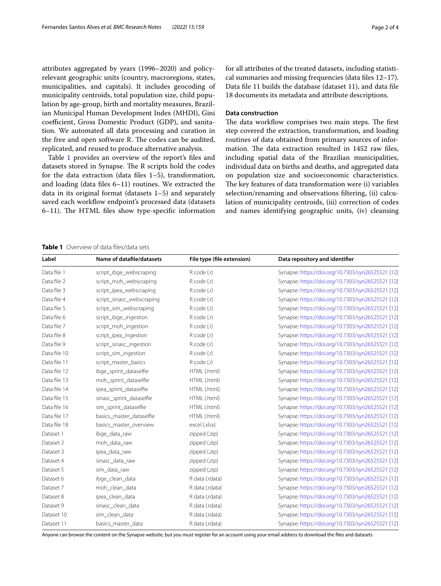attributes aggregated by years (1996–2020) and policyrelevant geographic units (country, macroregions, states, municipalities, and capitals). It includes geocoding of municipality centroids, total population size, child population by age-group, birth and mortality measures, Brazilian Municipal Human Development Index (MHDI), Gini coefficient, Gross Domestic Product (GDP), and sanitation. We automated all data processing and curation in the free and open software R. The codes can be audited, replicated, and reused to produce alternative analysis.

Table [1](#page-1-0) provides an overview of the report's files and datasets stored in Synapse. The R scripts hold the codes for the data extraction (data fles 1–5), transformation, and loading (data fles 6–11) routines. We extracted the data in its original format (datasets 1–5) and separately saved each workflow endpoint's processed data (datasets  $6-11$ ). The HTML files show type-specific information for all attributes of the treated datasets, including statistical summaries and missing frequencies (data fles 12–17). Data fle 11 builds the database (dataset 11), and data fle 18 documents its metadata and attribute descriptions.

# **Data construction**

The data workflow comprises two main steps. The first step covered the extraction, transformation, and loading routines of data obtained from primary sources of information. The data extraction resulted in 1452 raw files, including spatial data of the Brazilian municipalities, individual data on births and deaths, and aggregated data on population size and socioeconomic characteristics. The key features of data transformation were (i) variables selection/renaming and observations fltering, (ii) calculation of municipality centroids, (iii) correction of codes and names identifying geographic units, (iv) cleansing

# <span id="page-1-0"></span>**Table 1** Overview of data fles/data sets

| Label        | Name of datafile/datasets | File type (file extension) | Data repository and identifier                    |
|--------------|---------------------------|----------------------------|---------------------------------------------------|
| Data file 1  | script_ibge_webscraping   | R code (.r)                | Synapse: https://doi.org/10.7303/syn26525521 [12] |
| Data file 2  | script_moh_webscraping    | R code (.r)                | Synapse: https://doi.org/10.7303/syn26525521 [12] |
| Data file 3  | script_ipea_webscraping   | R code (.r)                | Synapse: https://doi.org/10.7303/syn26525521 [12] |
| Data file 4  | script_sinasc_webscraping | R code (.r)                | Synapse: https://doi.org/10.7303/syn26525521 [12] |
| Data file 5  | script_sim_webscraping    | R code (.r)                | Synapse: https://doi.org/10.7303/syn26525521 [12] |
| Data file 6  | script_ibge_ingestion     | R code (.r)                | Synapse: https://doi.org/10.7303/syn26525521 [12] |
| Data file 7  | script moh ingestion      | R code (.r)                | Synapse: https://doi.org/10.7303/syn26525521 [12] |
| Data file 8  | script_ipea_ingestion     | R code (.r)                | Synapse: https://doi.org/10.7303/syn26525521 [12] |
| Data file 9  | script_sinasc_ingestion   | R code (.r)                | Synapse: https://doi.org/10.7303/syn26525521 [12] |
| Data file 10 | script_sim_ingestion      | $R$ code $(r)$             | Synapse: https://doi.org/10.7303/syn26525521 [12] |
| Data file 11 | script_master_basics      | R code (.r)                | Synapse: https://doi.org/10.7303/syn26525521 [12] |
| Data file 12 | ibge_sprint_dataselfie    | HTML (.html)               | Synapse: https://doi.org/10.7303/syn26525521 [12] |
| Data file 13 | moh_sprint_dataselfie     | HTML (.html)               | Synapse: https://doi.org/10.7303/syn26525521 [12] |
| Data file 14 | ipea_sprint_dataselfie    | HTML (.html)               | Synapse: https://doi.org/10.7303/syn26525521 [12] |
| Data file 15 | sinasc_sprint_dataselfie  | HTML (.html)               | Synapse: https://doi.org/10.7303/syn26525521 [12] |
| Data file 16 | sim_sprint_dataselfie     | HTML (.html)               | Synapse: https://doi.org/10.7303/syn26525521 [12] |
| Data file 17 | basics_master_dataselfie  | HTML (.html)               | Synapse: https://doi.org/10.7303/syn26525521 [12] |
| Data file 18 | basics_master_overview    | excel (xlsx)               | Synapse: https://doi.org/10.7303/syn26525521 [12] |
| Dataset 1    | ibge_data_raw             | zipped (.zip)              | Synapse: https://doi.org/10.7303/syn26525521 [12] |
| Dataset 2    | moh data raw              | zipped (.zip)              | Synapse: https://doi.org/10.7303/syn26525521 [12] |
| Dataset 3    | ipea_data_raw             | zipped (.zip)              | Synapse: https://doi.org/10.7303/syn26525521 [12] |
| Dataset 4    | sinasc_data_raw           | zipped (.zip)              | Synapse: https://doi.org/10.7303/syn26525521 [12] |
| Dataset 5    | sim_data_raw              | zipped (.zip)              | Synapse: https://doi.org/10.7303/syn26525521 [12] |
| Dataset 6    | ibge_clean_data           | R data (.rdata)            | Synapse: https://doi.org/10.7303/syn26525521 [12] |
| Dataset 7    | moh_clean_data            | R data (.rdata)            | Synapse: https://doi.org/10.7303/syn26525521 [12] |
| Dataset 8    | ipea_clean_data           | R data (.rdata)            | Synapse: https://doi.org/10.7303/syn26525521 [12] |
| Dataset 9    | sinasc_clean_data         | R data (.rdata)            | Synapse: https://doi.org/10.7303/syn26525521 [12] |
| Dataset 10   | sim_clean_data            | R data (.rdata)            | Synapse: https://doi.org/10.7303/syn26525521 [12] |
| Dataset 11   | basics_master_data        | R data (.rdata)            | Synapse: https://doi.org/10.7303/syn26525521 [12] |

Anyone can browse the content on the Synapse website, but you must register for an account using your email address to download the fles and datasets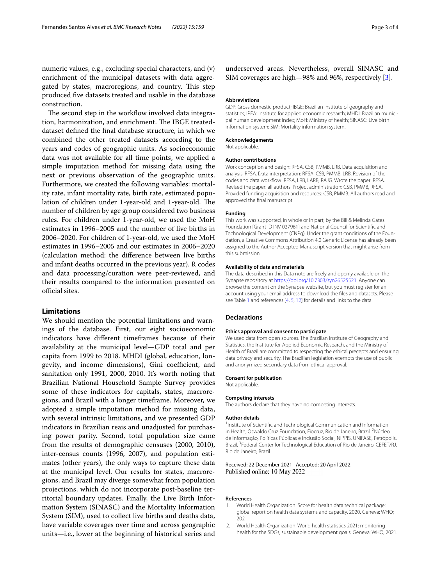numeric values, e.g., excluding special characters, and (v) enrichment of the municipal datasets with data aggregated by states, macroregions, and country. This step produced fve datasets treated and usable in the database construction.

The second step in the workflow involved data integration, harmonization, and enrichment. The IBGE treateddataset defned the fnal database structure, in which we combined the other treated datasets according to the years and codes of geographic units. As socioeconomic data was not available for all time points, we applied a simple imputation method for missing data using the next or previous observation of the geographic units. Furthermore, we created the following variables: mortality rate, infant mortality rate, birth rate, estimated population of children under 1-year-old and 1-year-old. The number of children by age group considered two business rules. For children under 1-year-old, we used the MoH estimates in 1996–2005 and the number of live births in 2006–2020. For children of 1-year-old, we used the MoH estimates in 1996–2005 and our estimates in 2006–2020 (calculation method: the diference between live births and infant deaths occurred in the previous year). R codes and data processing/curation were peer-reviewed, and their results compared to the information presented on official sites.

# **Limitations**

We should mention the potential limitations and warnings of the database. First, our eight socioeconomic indicators have diferent timeframes because of their availability at the municipal level—GDP total and per capita from 1999 to 2018. MHDI (global, education, longevity, and income dimensions), Gini coefficient, and sanitation only 1991, 2000, 2010. It's worth noting that Brazilian National Household Sample Survey provides some of these indicators for capitals, states, macroregions, and Brazil with a longer timeframe. Moreover, we adopted a simple imputation method for missing data, with several intrinsic limitations, and we presented GDP indicators in Brazilian reais and unadjusted for purchasing power parity. Second, total population size came from the results of demographic censuses (2000, 2010), inter-census counts (1996, 2007), and population estimates (other years), the only ways to capture these data at the municipal level. Our results for states, macroregions, and Brazil may diverge somewhat from population projections, which do not incorporate post-baseline territorial boundary updates. Finally, the Live Birth Information System (SINASC) and the Mortality Information System (SIM), used to collect live births and deaths data, have variable coverages over time and across geographic units—i.e., lower at the beginning of historical series and

underserved areas. Nevertheless, overall SINASC and SIM coverages are high—98% and 96%, respectively [\[3](#page-3-0)].

#### **Abbreviations**

GDP: Gross domestic product; IBGE: Brazilian institute of geography and statistics; IPEA: Institute for applied economic research; MHDI: Brazilian municipal human development index; MoH: Ministry of health; SINASC: Live birth information system; SIM: Mortality information system.

#### **Acknowledgements**

Not applicable.

## **Author contributions**

Work conception and design: RFSA, CSB, PMMB, LRB. Data acquisition and analysis: RFSA. Data interpretation: RFSA, CSB, PMMB, LRB. Revision of the codes and data workfow: RFSA, LRB, LARB, RAJG. Wrote the paper: RFSA. Revised the paper: all authors. Project administration: CSB, PMMB, RFSA. Provided funding acquisition and resources: CSB, PMMB. All authors read and approved the fnal manuscript.

## **Funding**

This work was supported, in whole or in part, by the Bill & Melinda Gates Foundation [Grant ID INV 027961] and National Council for Scientifc and Technological Development (CNPq). Under the grant conditions of the Foundation, a Creative Commons Attribution 4.0 Generic License has already been assigned to the Author Accepted Manuscript version that might arise from this submission.

#### **Availability of data and materials**

The data described in this Data note are freely and openly available on the Synapse repository at [https://doi.org/10.7303/syn26525521.](https://doi.org/10.7303/syn26525521) Anyone can browse the content on the Synapse website, but you must register for an account using your email address to download the fles and datasets. Please see Table [1](#page-1-0) and references [\[4](#page-3-1), [5,](#page-3-2) [12](#page-3-9)] for details and links to the data.

## **Declarations**

#### **Ethics approval and consent to participate**

We used data from open sources. The Brazilian Institute of Geography and Statistics, the Institute for Applied Economic Research, and the Ministry of Health of Brazil are committed to respecting the ethical precepts and ensuring data privacy and security. The Brazilian legislation exempts the use of public and anonymized secondary data from ethical approval.

#### **Consent for publication**

Not applicable.

#### **Competing interests**

The authors declare that they have no competing interests.

#### **Author details**

<sup>1</sup> Institute of Scientific and Technological Communication and Information in Health, Oswaldo Cruz Foundation, Fiocruz, Rio de Janeiro, Brazil.<sup>2</sup> Núcleo de Informação, Políticas Públicas e Inclusão Social, NIPPIS, UNIFASE, Petrópolis, Brazil. 3 Federal Center for Technological Education of Rio de Janeiro, CEFET/RJ, Rio de Janeiro, Brazil.

## Received: 22 December 2021 Accepted: 20 April 2022 Published online: 10 May 2022

#### **References**

- <span id="page-2-0"></span>World Health Organization. Score for health data technical package: global report on health data systems and capacity, 2020. Geneva: WHO; 2021.
- <span id="page-2-1"></span>2. World Health Organization. World health statistics 2021: monitoring health for the SDGs, sustainable development goals. Geneva: WHO; 2021.